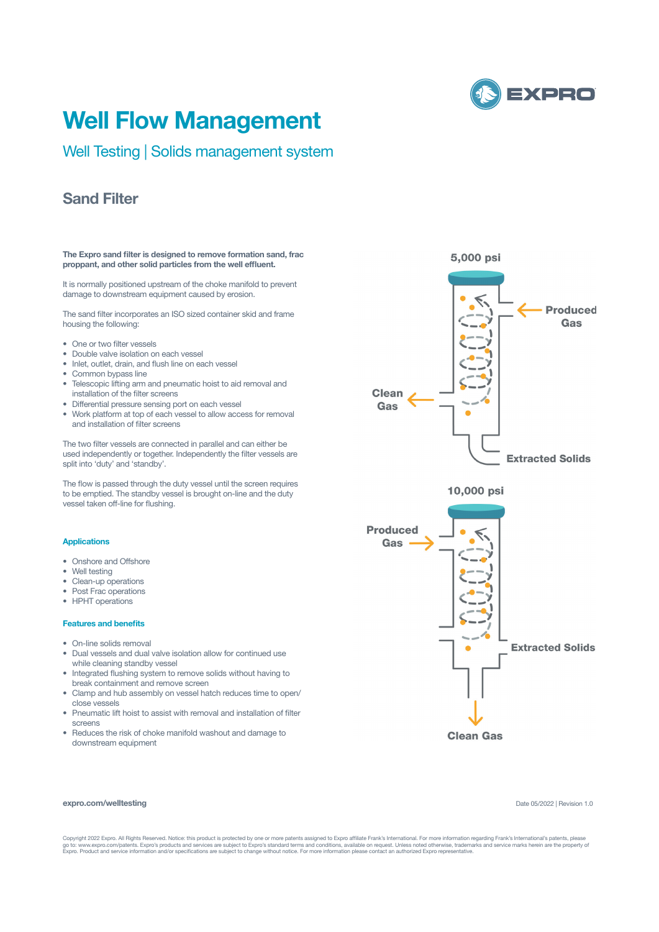

# **Well Flow Management**

Well Testing | Solids management system

## **Sand Filter**

#### **The Expro sand filter is designed to remove formation sand, frac proppant, and other solid particles from the well effluent.**

It is normally positioned upstream of the choke manifold to prevent damage to downstream equipment caused by erosion.

The sand filter incorporates an ISO sized container skid and frame housing the following:

- One or two filter vessels
- Double valve isolation on each vessel
- Inlet, outlet, drain, and flush line on each vessel
- Common bypass line
- Telescopic lifting arm and pneumatic hoist to aid removal and installation of the filter screens
- Differential pressure sensing port on each vessel
- Work platform at top of each vessel to allow access for removal and installation of filter screens

The two filter vessels are connected in parallel and can either be used independently or together. Independently the filter vessels are split into 'duty' and 'standby'.

The flow is passed through the duty vessel until the screen requires to be emptied. The standby vessel is brought on-line and the duty vessel taken off-line for flushing.

### **Applications**

- Onshore and Offshore
- Well testing
- Clean-up operations
- Post Frac operations
- HPHT operations

#### **Features and benefits**

- On-line solids removal
- Dual vessels and dual valve isolation allow for continued use while cleaning standby vessel
- Integrated flushing system to remove solids without having to break containment and remove screen
- Clamp and hub assembly on vessel hatch reduces time to open/ close vessels
- Pneumatic lift hoist to assist with removal and installation of filter screens
- Reduces the risk of choke manifold washout and damage to downstream equipment







#### **expro.com/welltesting**

Date 05/2022 | Revision 1.0

Copyright 2022 Expro. All Rights Reserved. Notice: this product is protected by one or more patents assigned to Expro affiliate Frank's International. For more information regarding Frank's International's patents, please<br>